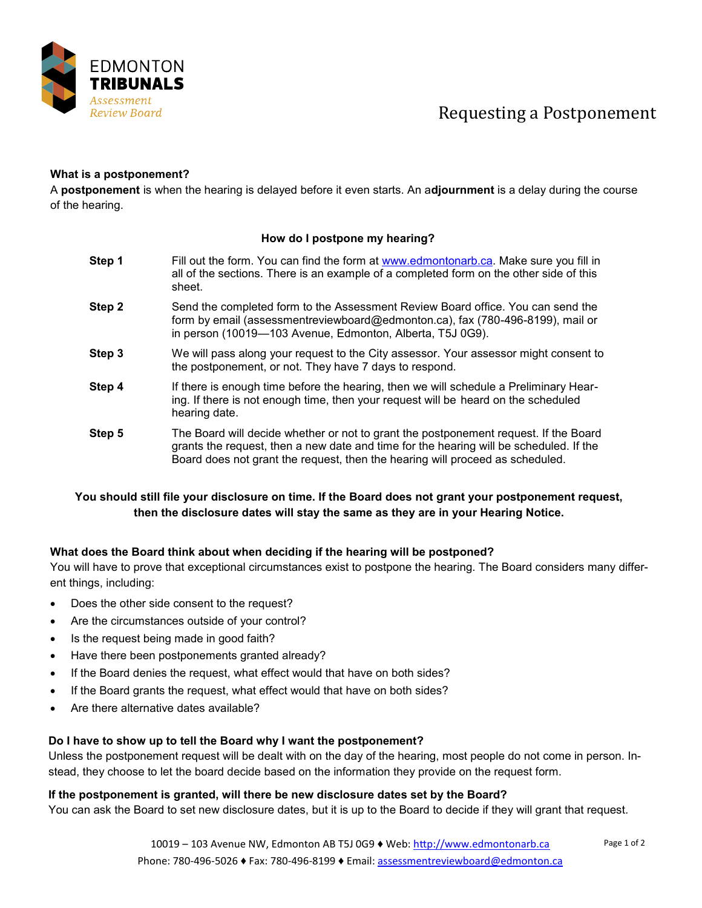

## Requesting a Postponement

#### **What is a postponement?**

A **postponement** is when the hearing is delayed before it even starts. An a**djournment** is a delay during the course of the hearing.

#### **How do I postpone my hearing?**

- **Step 1** Fill out the form. You can find the form at [www.edmontonarb.ca.](http://www.edmontonarb.ca) Make sure you fill in all of the sections. There is an example of a completed form on the other side of this sheet.
- **Step 2** Send the completed form to the Assessment Review Board office. You can send the form by email (assessmentreviewboard@edmonton.ca), fax (780-496-8199), mail or in person (10019—103 Avenue, Edmonton, Alberta, T5J 0G9).
- **Step 3** We will pass along your request to the City assessor. Your assessor might consent to the postponement, or not. They have 7 days to respond.
- **Step 4** If there is enough time before the hearing, then we will schedule a Preliminary Hearing. If there is not enough time, then your request will be heard on the scheduled hearing date.
- **Step 5** The Board will decide whether or not to grant the postponement request. If the Board grants the request, then a new date and time for the hearing will be scheduled. If the Board does not grant the request, then the hearing will proceed as scheduled.

### **You should still file your disclosure on time. If the Board does not grant your postponement request, then the disclosure dates will stay the same as they are in your Hearing Notice.**

#### **What does the Board think about when deciding if the hearing will be postponed?**

You will have to prove that exceptional circumstances exist to postpone the hearing. The Board considers many different things, including:

- Does the other side consent to the request?
- Are the circumstances outside of your control?
- Is the request being made in good faith?
- Have there been postponements granted already?
- If the Board denies the request, what effect would that have on both sides?
- If the Board grants the request, what effect would that have on both sides?
- Are there alternative dates available?

#### **Do I have to show up to tell the Board why I want the postponement?**

Unless the postponement request will be dealt with on the day of the hearing, most people do not come in person. Instead, they choose to let the board decide based on the information they provide on the request form.

#### **If the postponement is granted, will there be new disclosure dates set by the Board?**

You can ask the Board to set new disclosure dates, but it is up to the Board to decide if they will grant that request.